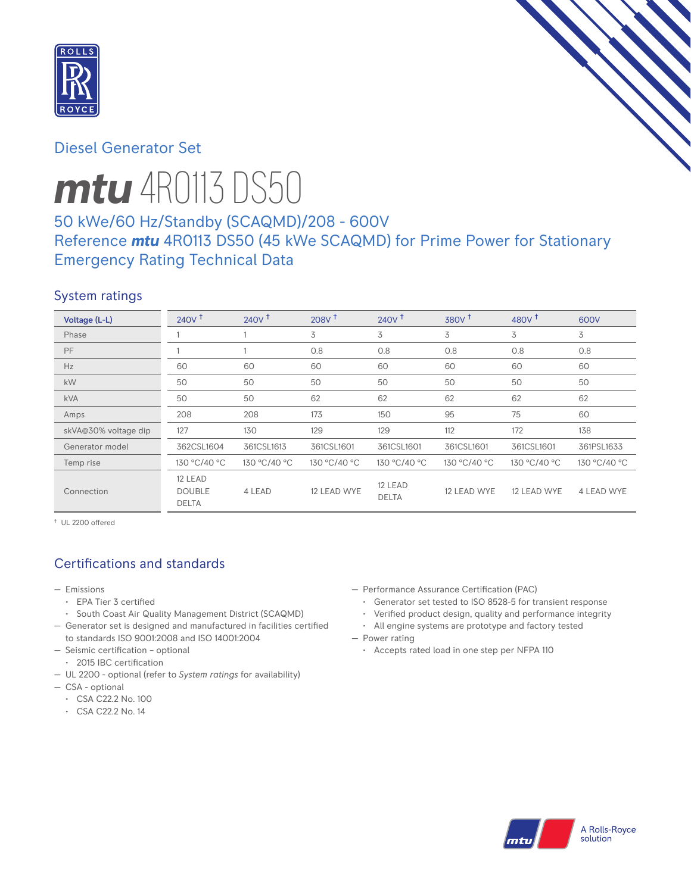

# Diesel Generator Set

# *mtu* 4R0113 DS50 50 kWe/60 Hz/Standby (SCAQMD)/208 - 600V

# Reference *mtu* 4R0113 DS50 (45 kWe SCAQMD) for Prime Power for Stationary Emergency Rating Technical Data

# System ratings

| Voltage (L-L)        | 240V <sup>†</sup>                        | 240V <sup>†</sup> | 208V <sup>†</sup> | 240V <sup>†</sup>       | 380V <sup>†</sup> | 480 $V†$     | 600V         |
|----------------------|------------------------------------------|-------------------|-------------------|-------------------------|-------------------|--------------|--------------|
| Phase                |                                          |                   | 3                 | 3                       | 3                 | 3            | 3            |
| PF                   |                                          |                   | 0.8               | 0.8                     | 0.8               | 0.8          | 0.8          |
| Hz                   | 60                                       | 60                | 60                | 60                      | 60                | 60           | 60           |
| kW                   | 50                                       | 50                | 50                | 50                      | 50                | 50           | 50           |
| <b>kVA</b>           | 50                                       | 50                | 62                | 62                      | 62                | 62           | 62           |
| Amps                 | 208                                      | 208               | 173               | 150                     | 95                | 75           | 60           |
| skVA@30% voltage dip | 127                                      | 130               | 129               | 129                     | 112               | 172          | 138          |
| Generator model      | 362CSL1604                               | 361CSL1613        | 361CSL1601        | 361CSL1601              | 361CSL1601        | 361CSL1601   | 361PSL1633   |
| Temp rise            | 130 °C/40 °C                             | 130 °C/40 °C      | 130 °C/40 °C      | 130 °C/40 °C            | 130 °C/40 °C      | 130 °C/40 °C | 130 °C/40 °C |
| Connection           | 12 LEAD<br><b>DOUBLE</b><br><b>DELTA</b> | 4 LEAD            | 12 LEAD WYE       | 12 LEAD<br><b>DELTA</b> | 12 LEAD WYE       | 12 LEAD WYE  | 4 LEAD WYE   |

† UL 2200 offered

# Certifications and standards

- Emissions
	- EPA Tier 3 certified
- South Coast Air Quality Management District (SCAQMD)
- Generator set is designed and manufactured in facilities certified to standards ISO 9001:2008 and ISO 14001:2004
- Seismic certification optional
- 2015 IBC certification
- UL 2200 optional (refer to *System ratings* for availability)
- CSA optional
	- CSA C22.2 No. 100
	- CSA C22.2 No. 14
- Performance Assurance Certification (PAC)
	- Generator set tested to ISO 8528-5 for transient response
	- Verified product design, quality and performance integrity
	- All engine systems are prototype and factory tested
- Power rating
	- Accepts rated load in one step per NFPA 110

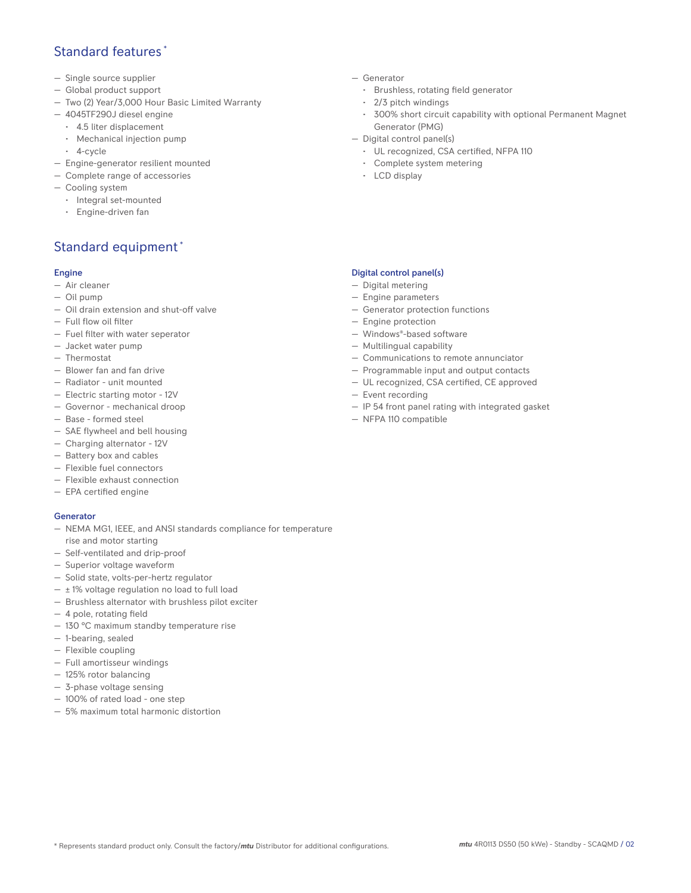## Standard features \*

- Single source supplier
- Global product support
- Two (2) Year/3,000 Hour Basic Limited Warranty
- 4045TF290J diesel engine
	- 4.5 liter displacement
	- Mechanical injection pump
	- 4-cycle
- Engine-generator resilient mounted
- Complete range of accessories
- Cooling system
- Integral set-mounted
	- Engine-driven fan

# Standard equipment \*

### Engine

- Air cleaner
- Oil pump
- Oil drain extension and shut-off valve
- Full flow oil filter
- Fuel filter with water seperator
- Jacket water pump
- Thermostat
- Blower fan and fan drive
- Radiator unit mounted
- Electric starting motor 12V
- Governor mechanical droop
- Base formed steel
- SAE flywheel and bell housing
- Charging alternator 12V
- Battery box and cables
- Flexible fuel connectors
- Flexible exhaust connection
- EPA certified engine

### **Generator**

- NEMA MG1, IEEE, and ANSI standards compliance for temperature rise and motor starting
- Self-ventilated and drip-proof
- Superior voltage waveform
- Solid state, volts-per-hertz regulator
- $\pm$  1% voltage regulation no load to full load
- Brushless alternator with brushless pilot exciter
- 4 pole, rotating field
- 130 °C maximum standby temperature rise
- 1-bearing, sealed
- Flexible coupling
- Full amortisseur windings
- 125% rotor balancing
- 3-phase voltage sensing
- 100% of rated load one step
- 5% maximum total harmonic distortion
- Generator
	- Brushless, rotating field generator
	- 2/3 pitch windings
	- 300% short circuit capability with optional Permanent Magnet Generator (PMG)
- Digital control panel(s)
	- UL recognized, CSA certified, NFPA 110
	- Complete system metering
	- LCD display

### Digital control panel(s)

- Digital metering
- Engine parameters
- Generator protection functions
- Engine protection
- Windows®-based software
- Multilingual capability
- Communications to remote annunciator
- Programmable input and output contacts
- UL recognized, CSA certified, CE approved
- Event recording
- IP 54 front panel rating with integrated gasket
- NFPA 110 compatible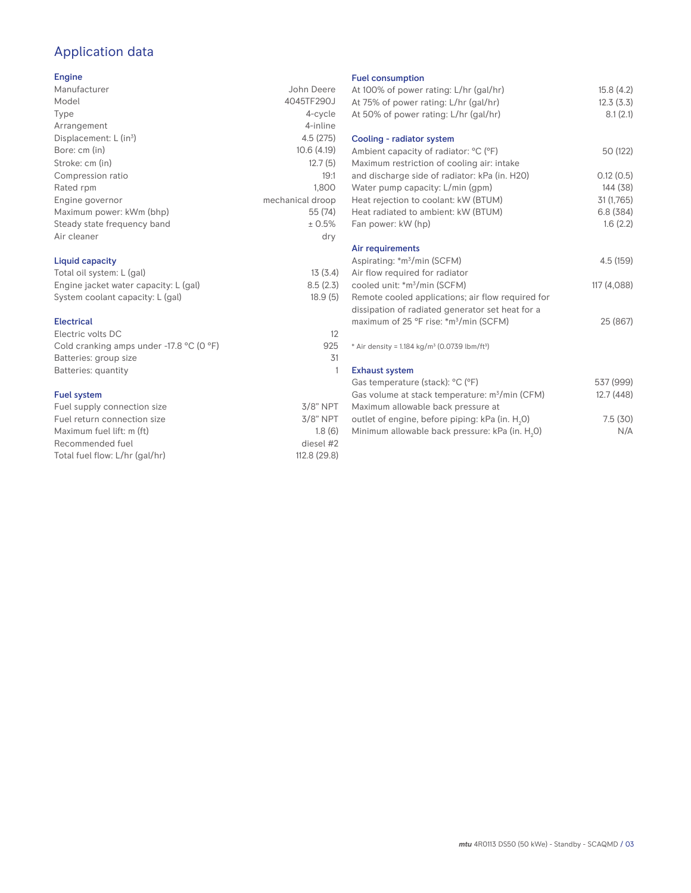# Application data

### Engine

| Manufacturer                         | John Deere       |
|--------------------------------------|------------------|
| Model                                | 4045TF290J       |
| Type                                 | 4-cycle          |
| Arrangement                          | 4-inline         |
| Displacement: $L$ (in <sup>3</sup> ) | 4.5(275)         |
| Bore: cm (in)                        | 10.6(4.19)       |
| Stroke: cm (in)                      | 12.7(5)          |
| Compression ratio                    | 19:1             |
| Rated rpm                            | 1.800            |
| Engine governor                      | mechanical droop |
| Maximum power: kWm (bhp)             | 55 (74)          |
| Steady state frequency band          | ± 0.5%           |
| Air cleaner                          | dry              |
|                                      |                  |

### Liquid capacity

| Total oil system: L (gal)             | 13(3.4)  |
|---------------------------------------|----------|
| Engine jacket water capacity: L (gal) | 8.5(2.3) |
| System coolant capacity: L (gal)      | 18.9(5)  |

### Electrical

| Electric volts DC                                            | 12  |
|--------------------------------------------------------------|-----|
| Cold cranking amps under -17.8 $^{\circ}$ C (O $^{\circ}$ F) | 925 |
| Batteries: group size                                        | .31 |
| Batteries: quantity                                          |     |
|                                                              |     |

### Fuel system

| Fuel supply connection size    | $3/8"$ NPT   |
|--------------------------------|--------------|
| Fuel return connection size    | $3/8$ " NPT  |
| Maximum fuel lift: m (ft)      | 1.8(6)       |
| Recommended fuel               | diesel #2    |
| Total fuel flow: L/hr (gal/hr) | 112.8 (29.8) |
|                                |              |

#### Fuel consumption

| <b>I GET CONSUMPTION</b>                                              |             |
|-----------------------------------------------------------------------|-------------|
| At 100% of power rating: L/hr (gal/hr)                                | 15.8(4.2)   |
| At 75% of power rating: L/hr (gal/hr)                                 | 12.3(3.3)   |
| At 50% of power rating: L/hr (gal/hr)                                 | 8.1(2.1)    |
|                                                                       |             |
| Cooling - radiator system                                             |             |
| Ambient capacity of radiator: °C (°F)                                 | 50 (122)    |
| Maximum restriction of cooling air: intake                            |             |
| and discharge side of radiator: kPa (in. H20)                         | 0.12(0.5)   |
| Water pump capacity: L/min (gpm)                                      | 144 (38)    |
| Heat rejection to coolant: kW (BTUM)                                  | 31 (1,765)  |
| Heat radiated to ambient: kW (BTUM)                                   | 6.8(384)    |
| Fan power: kW (hp)                                                    | 1.6(2.2)    |
|                                                                       |             |
| Air requirements                                                      |             |
| Aspirating: *m <sup>3</sup> /min (SCFM)                               | 4.5 (159)   |
| Air flow required for radiator                                        |             |
| cooled unit: *m <sup>3</sup> /min (SCFM)                              | 117 (4,088) |
| Remote cooled applications; air flow required for                     |             |
| dissipation of radiated generator set heat for a                      |             |
| maximum of 25 °F rise: *m <sup>3</sup> /min (SCFM)                    | 25 (867)    |
|                                                                       |             |
| * Air density = 1.184 kg/m <sup>3</sup> (0.0739 lbm/ft <sup>3</sup> ) |             |
| <b>Exhaust system</b>                                                 |             |
| Gas temperature (stack): °C (°F)                                      | 537 (999)   |
| Gas volume at stack temperature: m <sup>3</sup> /min (CFM)            | 12.7(448)   |
|                                                                       |             |
| Maximum allowable back pressure at                                    |             |
| outlet of engine, before piping: kPa (in. H <sub>2</sub> 0)           | 7.5(30)     |
| Minimum allowable back pressure: kPa (in. H <sub>2</sub> 0)           | N/A         |